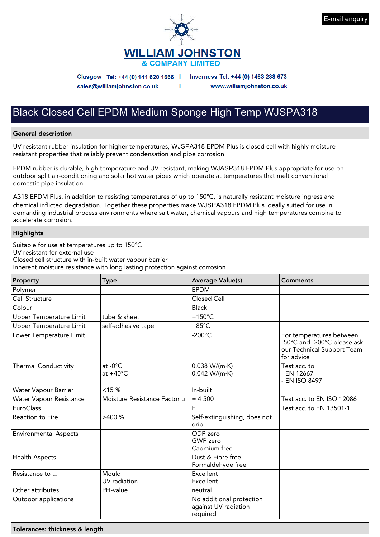



Glasgow Tel: +44 (0) 141 620 1666 |

Inverness Tel: +44 (0) 1463 238 673

sales@williamjohnston.co.uk

www.williamjohnston.co.uk

## Black Closed Cell EPDM Medium Sponge High Temp WJSPA318

#### General description

UV resistant rubber insulation for higher temperatures, WJSPA318 EPDM Plus is closed cell with highly moisture resistant properties that reliably prevent condensation and pipe corrosion.

п

EPDM rubber is durable, high temperature and UV resistant, making WJASP318 EPDM Plus appropriate for use on outdoor split air-conditioning and solar hot water pipes which operate at temperatures that melt conventional domestic pipe insulation.

A318 EPDM Plus, in addition to resisting temperatures of up to 150°C, is naturally resistant moisture ingress and chemical inflicted degradation. Together these properties make WJSPA318 EPDM Plus ideally suited for use in demanding industrial process environments where salt water, chemical vapours and high temperatures combine to accelerate corrosion.

### **Highlights**

Suitable for use at temperatures up to 150°C UV resistant for external use Closed cell structure with in-built water vapour barrier Inherent moisture resistance with long lasting protection against corrosion

| Property                       | <b>Type</b>                      | <b>Average Value(s)</b>                                      | <b>Comments</b>                                                                                     |
|--------------------------------|----------------------------------|--------------------------------------------------------------|-----------------------------------------------------------------------------------------------------|
| Polymer                        |                                  | <b>EPDM</b>                                                  |                                                                                                     |
| Cell Structure                 |                                  | Closed Cell                                                  |                                                                                                     |
| Colour                         |                                  | <b>Black</b>                                                 |                                                                                                     |
| <b>Upper Temperature Limit</b> | tube & sheet                     | $+150^{\circ}$ C                                             |                                                                                                     |
| <b>Upper Temperature Limit</b> | self-adhesive tape               | $+85^{\circ}$ C                                              |                                                                                                     |
| Lower Temperature Limit        |                                  | $-200^{\circ}$ C                                             | For temperatures between<br>-50°C and -200°C please ask<br>our Technical Support Team<br>for advice |
| <b>Thermal Conductivity</b>    | at $-0$ °C<br>at $+40^{\circ}$ C | 0.038 W/(m·K)<br>0.042 W/(m·K)                               | Test acc. to<br>- EN 12667<br>- EN ISO 8497                                                         |
| Water Vapour Barrier           | $< 15 \%$                        | In-built                                                     |                                                                                                     |
| <b>Water Vapour Resistance</b> | Moisture Resistance Factor µ     | $= 4500$                                                     | Test acc. to EN ISO 12086                                                                           |
| EuroClass                      |                                  | E                                                            | Test acc. to EN 13501-1                                                                             |
| Reaction to Fire               | >400%                            | Self-extinguishing, does not<br>drip                         |                                                                                                     |
| <b>Environmental Aspects</b>   |                                  | ODP zero<br>GWP zero<br>Cadmium free                         |                                                                                                     |
| <b>Health Aspects</b>          |                                  | Dust & Fibre free<br>Formaldehyde free                       |                                                                                                     |
| Resistance to                  | Mould<br>UV radiation            | Excellent<br>Excellent                                       |                                                                                                     |
| Other attributes               | PH-value                         | neutral                                                      |                                                                                                     |
| Outdoor applications           |                                  | No additional protection<br>against UV radiation<br>required |                                                                                                     |

Tolerances: thickness & length